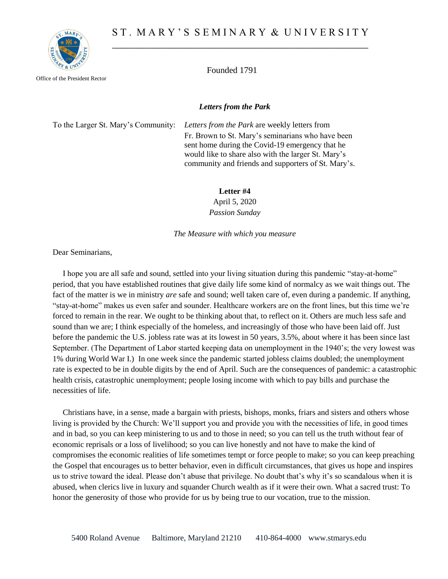

Office of the President Rector

Founded 1791

## *Letters from the Park*

To the Larger St. Mary's Community: *Letters from the Park* are weekly letters from Fr. Brown to St. Mary's seminarians who have been sent home during the Covid-19 emergency that he would like to share also with the larger St. Mary's community and friends and supporters of St. Mary's.

## **Letter #4**

April 5, 2020 *Passion Sunday*

*The Measure with which you measure*

Dear Seminarians,

 I hope you are all safe and sound, settled into your living situation during this pandemic "stay-at-home" period, that you have established routines that give daily life some kind of normalcy as we wait things out. The fact of the matter is we in ministry *are* safe and sound; well taken care of, even during a pandemic. If anything, "stay-at-home" makes us even safer and sounder. Healthcare workers are on the front lines, but this time we're forced to remain in the rear. We ought to be thinking about that, to reflect on it. Others are much less safe and sound than we are; I think especially of the homeless, and increasingly of those who have been laid off. Just before the pandemic the U.S. jobless rate was at its lowest in 50 years, 3.5%, about where it has been since last September. (The Department of Labor started keeping data on unemployment in the 1940's; the very lowest was 1% during World War I.) In one week since the pandemic started jobless claims doubled; the unemployment rate is expected to be in double digits by the end of April. Such are the consequences of pandemic: a catastrophic health crisis, catastrophic unemployment; people losing income with which to pay bills and purchase the necessities of life.

 Christians have, in a sense, made a bargain with priests, bishops, monks, friars and sisters and others whose living is provided by the Church: We'll support you and provide you with the necessities of life, in good times and in bad, so you can keep ministering to us and to those in need; so you can tell us the truth without fear of economic reprisals or a loss of livelihood; so you can live honestly and not have to make the kind of compromises the economic realities of life sometimes tempt or force people to make; so you can keep preaching the Gospel that encourages us to better behavior, even in difficult circumstances, that gives us hope and inspires us to strive toward the ideal. Please don't abuse that privilege. No doubt that's why it's so scandalous when it is abused, when clerics live in luxury and squander Church wealth as if it were their own. What a sacred trust: To honor the generosity of those who provide for us by being true to our vocation, true to the mission.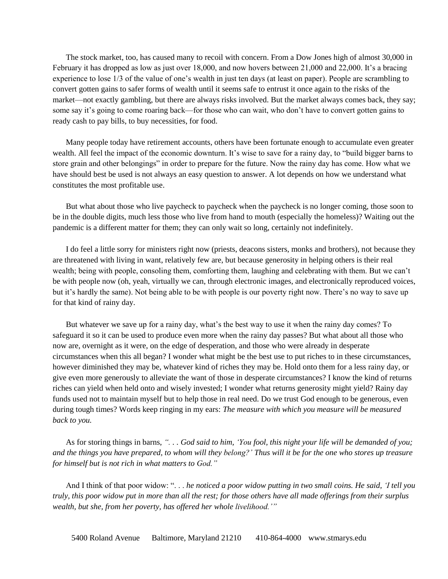The stock market, too, has caused many to recoil with concern. From a Dow Jones high of almost 30,000 in February it has dropped as low as just over 18,000, and now hovers between 21,000 and 22,000. It's a bracing experience to lose 1/3 of the value of one's wealth in just ten days (at least on paper). People are scrambling to convert gotten gains to safer forms of wealth until it seems safe to entrust it once again to the risks of the market—not exactly gambling, but there are always risks involved. But the market always comes back, they say; some say it's going to come roaring back—for those who can wait, who don't have to convert gotten gains to ready cash to pay bills, to buy necessities, for food.

Many people today have retirement accounts, others have been fortunate enough to accumulate even greater wealth. All feel the impact of the economic downturn. It's wise to save for a rainy day, to "build bigger barns to store grain and other belongings" in order to prepare for the future. Now the rainy day has come. How what we have should best be used is not always an easy question to answer. A lot depends on how we understand what constitutes the most profitable use.

But what about those who live paycheck to paycheck when the paycheck is no longer coming, those soon to be in the double digits, much less those who live from hand to mouth (especially the homeless)? Waiting out the pandemic is a different matter for them; they can only wait so long, certainly not indefinitely.

I do feel a little sorry for ministers right now (priests, deacons sisters, monks and brothers), not because they are threatened with living in want, relatively few are, but because generosity in helping others is their real wealth; being with people, consoling them, comforting them, laughing and celebrating with them. But we can't be with people now (oh, yeah, virtually we can, through electronic images, and electronically reproduced voices, but it's hardly the same). Not being able to be with people is our poverty right now. There's no way to save up for that kind of rainy day.

But whatever we save up for a rainy day, what's the best way to use it when the rainy day comes? To safeguard it so it can be used to produce even more when the rainy day passes? But what about all those who now are, overnight as it were, on the edge of desperation, and those who were already in desperate circumstances when this all began? I wonder what might be the best use to put riches to in these circumstances, however diminished they may be, whatever kind of riches they may be. Hold onto them for a less rainy day, or give even more generously to alleviate the want of those in desperate circumstances? I know the kind of returns riches can yield when held onto and wisely invested; I wonder what returns generosity might yield? Rainy day funds used not to maintain myself but to help those in real need. Do we trust God enough to be generous, even during tough times? Words keep ringing in my ears: *The measure with which you measure will be measured back to you.*

As for storing things in barns, "... God said to him, 'You fool, this night your life will be demanded of you; and the things you have prepared, to whom will they belong?' Thus will it be for the one who stores up treasure *for himself but is not rich in what matters to God."*

And I think of that poor widow: ". . . *he noticed a poor widow putting in two small coins. He said, 'I tell you* truly, this poor widow put in more than all the rest; for those others have all made offerings from their surplus *wealth, but she, from her poverty, has offered her whole livelihood.'"*